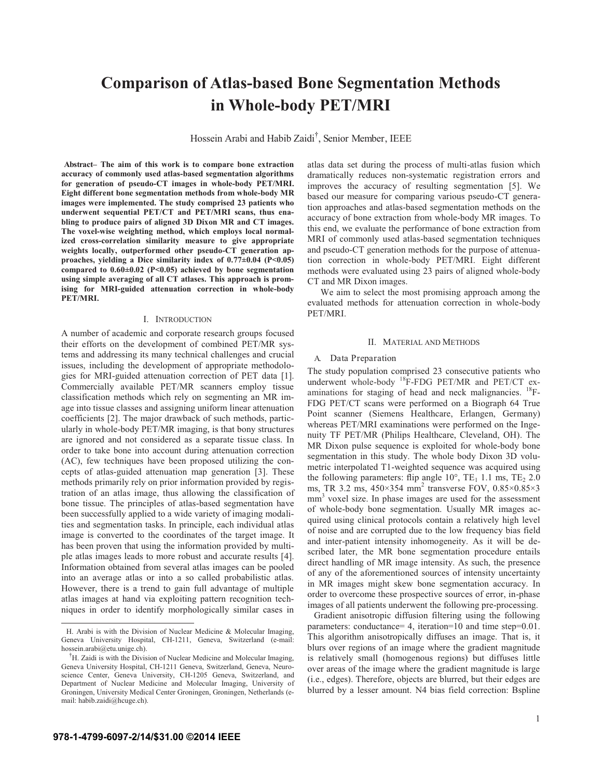# **Comparison of Atlas-based Bone Segmentation Methods in Whole-body PET/MRI**

Hossein Arabi and Habib Zaidi , Senior Member, IEEE

**1 Abstract***±* **The aim of this work is to compare bone extraction accuracy of commonly used atlas-based segmentation algorithms for generation of pseudo-CT images in whole-body PET/MRI. Eight different bone segmentation methods from whole-body MR images were implemented. The study comprised 23 patients who underwent sequential PET/CT and PET/MRI scans, thus enabling to produce pairs of aligned 3D Dixon MR and CT images. The voxel-wise weighting method, which employs local normalized cross-correlation similarity measure to give appropriate weights locally, outperformed other pseudo-CT generation approaches, yielding a Dice similarity index of 0.77±0.04 (P<0.05) compared to 0.60±0.02 (P<0.05) achieved by bone segmentation using simple averaging of all CT atlases. This approach is promising for MRI-guided attenuation correction in whole-body PET/MRI.** 

# I. INTRODUCTION

A number of academic and corporate research groups focused their efforts on the development of combined PET/MR systems and addressing its many technical challenges and crucial issues, including the development of appropriate methodologies for MRI-guided attenuation correction of PET data [1]. Commercially available PET/MR scanners employ tissue classification methods which rely on segmenting an MR image into tissue classes and assigning uniform linear attenuation coefficients [2]. The major drawback of such methods, particularly in whole-body PET/MR imaging, is that bony structures are ignored and not considered as a separate tissue class. In order to take bone into account during attenuation correction (AC), few techniques have been proposed utilizing the concepts of atlas-guided attenuation map generation [3]. These methods primarily rely on prior information provided by registration of an atlas image, thus allowing the classification of bone tissue. The principles of atlas-based segmentation have been successfully applied to a wide variety of imaging modalities and segmentation tasks. In principle, each individual atlas image is converted to the coordinates of the target image. It has been proven that using the information provided by multiple atlas images leads to more robust and accurate results [4]. Information obtained from several atlas images can be pooled into an average atlas or into a so called probabilistic atlas. However, there is a trend to gain full advantage of multiple atlas images at hand via exploiting pattern recognition techniques in order to identify morphologically similar cases in atlas data set during the process of multi-atlas fusion which dramatically reduces non-systematic registration errors and improves the accuracy of resulting segmentation [5]. We based our measure for comparing various pseudo-CT generation approaches and atlas-based segmentation methods on the accuracy of bone extraction from whole-body MR images. To this end, we evaluate the performance of bone extraction from MRI of commonly used atlas-based segmentation techniques and pseudo-CT generation methods for the purpose of attenuation correction in whole-body PET/MRI. Eight different methods were evaluated using 23 pairs of aligned whole-body CT and MR Dixon images.

We aim to select the most promising approach among the evaluated methods for attenuation correction in whole-body PET/MRI.

#### II. MATERIAL AND METHODS

#### A. Data Preparation

The study population comprised 23 consecutive patients who underwent whole-body <sup>18</sup>F-FDG PET/MR and PET/CT examinations for staging of head and neck malignancies. <sup>18</sup>F-FDG PET/CT scans were performed on a Biograph 64 True Point scanner (Siemens Healthcare, Erlangen, Germany) whereas PET/MRI examinations were performed on the Ingenuity TF PET/MR (Philips Healthcare, Cleveland, OH). The MR Dixon pulse sequence is exploited for whole-body bone segmentation in this study. The whole body Dixon 3D volumetric interpolated T1-weighted sequence was acquired using the following parameters: flip angle  $10^{\circ}$ , TE<sub>1</sub> 1.1 ms, TE<sub>2</sub> 2.0 ms, TR 3.2 ms, 450×354 mm<sup>2</sup> transverse FOV, 0.85×0.85×3 mm<sup>3</sup> voxel size. In phase images are used for the assessment of whole-body bone segmentation. Usually MR images acquired using clinical protocols contain a relatively high level of noise and are corrupted due to the low frequency bias field and inter-patient intensity inhomogeneity. As it will be described later, the MR bone segmentation procedure entails direct handling of MR image intensity. As such, the presence of any of the aforementioned sources of intensity uncertainty in MR images might skew bone segmentation accuracy. In order to overcome these prospective sources of error, in-phase images of all patients underwent the following pre-processing.

Gradient anisotropic diffusion filtering using the following parameters: conductance= 4, iteration=10 and time step=0.01. This algorithm anisotropically diffuses an image. That is, it blurs over regions of an image where the gradient magnitude is relatively small (homogenous regions) but diffuses little over areas of the image where the gradient magnitude is large (i.e., edges). Therefore, objects are blurred, but their edges are blurred by a lesser amount. N4 bias field correction: Bspline

 $\overline{a}$ 

<sup>1</sup> H. Arabi is with the Division of Nuclear Medicine & Molecular Imaging, Geneva University Hospital, CH-1211, Geneva, Switzerland (e-mail: hossein.arabi@etu.unige.ch).

<sup>&</sup>lt;sup>†</sup>H. Zaidi is with the Division of Nuclear Medicine and Molecular Imaging, Geneva University Hospital, CH-1211 Geneva, Switzerland, Geneva, Neuroscience Center, Geneva University, CH-1205 Geneva, Switzerland, and Department of Nuclear Medicine and Molecular Imaging, University of Groningen, University Medical Center Groningen, Groningen, Netherlands (email: habib.zaidi@hcuge.ch).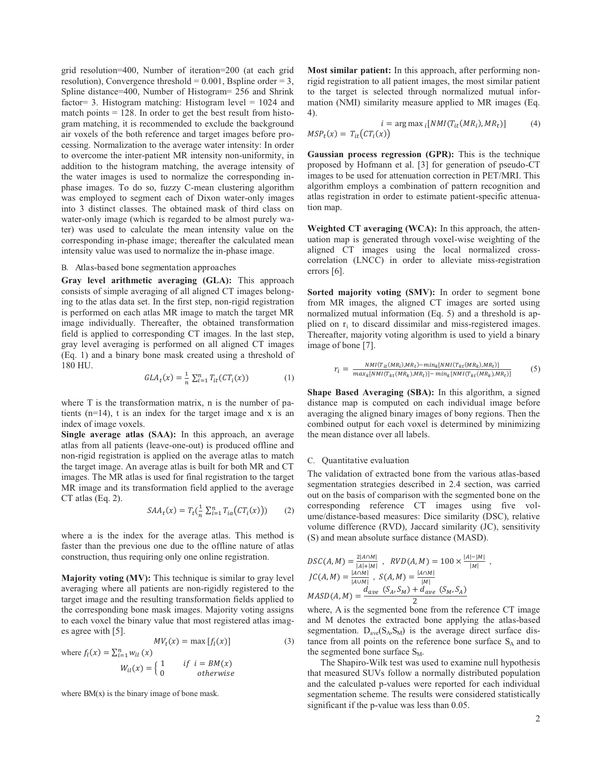grid resolution=400, Number of iteration=200 (at each grid resolution), Convergence threshold =  $0.001$ , Bspline order = 3, Spline distance=400, Number of Histogram= 256 and Shrink factor= 3. Histogram matching: Histogram level = 1024 and match points  $= 128$ . In order to get the best result from histogram matching, it is recommended to exclude the background air voxels of the both reference and target images before processing. Normalization to the average water intensity: In order to overcome the inter-patient MR intensity non-uniformity, in addition to the histogram matching, the average intensity of the water images is used to normalize the corresponding inphase images. To do so, fuzzy C-mean clustering algorithm was employed to segment each of Dixon water-only images into 3 distinct classes. The obtained mask of third class on water-only image (which is regarded to be almost purely water) was used to calculate the mean intensity value on the corresponding in-phase image; thereafter the calculated mean intensity value was used to normalize the in-phase image.

#### B. Atlas-based bone segmentation approaches

**Gray level arithmetic averaging (GLA):** This approach consists of simple averaging of all aligned CT images belonging to the atlas data set. In the first step, non-rigid registration is performed on each atlas MR image to match the target MR image individually. Thereafter, the obtained transformation field is applied to corresponding CT images. In the last step, gray level averaging is performed on all aligned CT images (Eq. 1) and a binary bone mask created using a threshold of 180 HU.

$$
GLA_t(x) = \frac{1}{n} \sum_{i=1}^n T_{it}(CT_i(x))
$$
 (1)

where T is the transformation matrix, n is the number of patients (n=14), t is an index for the target image and x is an index of image voxels.

**Single average atlas (SAA):** In this approach, an average atlas from all patients (leave-one-out) is produced offline and non-rigid registration is applied on the average atlas to match the target image. An average atlas is built for both MR and CT images. The MR atlas is used for final registration to the target MR image and its transformation field applied to the average CT atlas (Eq. 2).

$$
SAA_t(x) = T_t(\frac{1}{n}\sum_{i=1}^n T_{ia}(CT_i(x))) \qquad (2)
$$

where a is the index for the average atlas. This method is faster than the previous one due to the offline nature of atlas construction, thus requiring only one online registration.

**Majority voting (MV):** This technique is similar to gray level averaging where all patients are non-rigidly registered to the target image and the resulting transformation fields applied to the corresponding bone mask images. Majority voting assigns to each voxel the binary value that most registered atlas images agree with [5].

$$
MV_t(x) = \max[f_t(x)] \tag{3}
$$

where 
$$
f_l(x) = \sum_{i=1}^{n} w_{il}(x)
$$
  
\n
$$
W_{il}(x) = \begin{cases} 1 & if i = BM(x) \\ 0 & otherwise \end{cases}
$$

where  $BM(x)$  is the binary image of bone mask.

**Most similar patient:** In this approach, after performing nonrigid registration to all patient images, the most similar patient to the target is selected through normalized mutual information (NMI) similarity measure applied to MR images (Eq. 4).

$$
i = \arg \max_{i} [NMI(T_{it}(MR_i), MR_t)] \tag{4}
$$
  

$$
MSP_t(x) = T_{it}(CT_i(x))
$$

**Gaussian process regression (GPR):** This is the technique proposed by Hofmann et al. [3] for generation of pseudo-CT images to be used for attenuation correction in PET/MRI. This algorithm employs a combination of pattern recognition and atlas registration in order to estimate patient-specific attenuation map.

**Weighted CT averaging (WCA):** In this approach, the attenuation map is generated through voxel-wise weighting of the aligned CT images using the local normalized crosscorrelation (LNCC) in order to alleviate miss-registration errors [6].

Sorted majority voting (SMV): In order to segment bone from MR images, the aligned CT images are sorted using normalized mutual information (Eq. 5) and a threshold is applied on ri to discard dissimilar and miss-registered images. Thereafter, majority voting algorithm is used to yield a binary image of bone [7].

$$
r_i = \frac{NMI(T_{it}(MR_i),MR_t) - min_k[NMI(T_{kt}(MR_k),MR_t)]}{max_k[NMI(T_{kt}(MR_k),MR_t)] - min_k[NMI(T_{kt}(MR_k),MR_t)]}
$$
(5)

**Shape Based Averaging (SBA):** In this algorithm, a signed distance map is computed on each individual image before averaging the aligned binary images of bony regions. Then the combined output for each voxel is determined by minimizing the mean distance over all labels.

## C. Quantitative evaluation

The validation of extracted bone from the various atlas-based segmentation strategies described in 2.4 section, was carried out on the basis of comparison with the segmented bone on the corresponding reference CT images using five volume/distance-based measures: Dice similarity (DSC), relative volume difference (RVD), Jaccard similarity (JC), sensitivity (S) and mean absolute surface distance (MASD).

$$
DSC(A, M) = \frac{2|A \cap M|}{|A| + |M|}, \quad RVD(A, M) = 100 \times \frac{|A| - |M|}{|M|},
$$
  
\n
$$
JC(A, M) = \frac{|A \cap M|}{|A \cup M|}, \quad S(A, M) = \frac{|A \cap M|}{|M|}
$$
  
\n
$$
MASD(A, M) = \frac{d_{ave}(S_A, S_M) + d_{ave}(S_M, S_A)}{2}
$$

where, A is the segmented bone from the reference CT image and M denotes the extracted bone applying the atlas-based segmentation.  $D_{ave}(S_A, S_M)$  is the average direct surface distance from all points on the reference bone surface  $S_A$  and to the segmented bone surface  $S_M$ .

The Shapiro-Wilk test was used to examine null hypothesis that measured SUVs follow a normally distributed population and the calculated p-values were reported for each individual segmentation scheme. The results were considered statistically significant if the p-value was less than 0.05.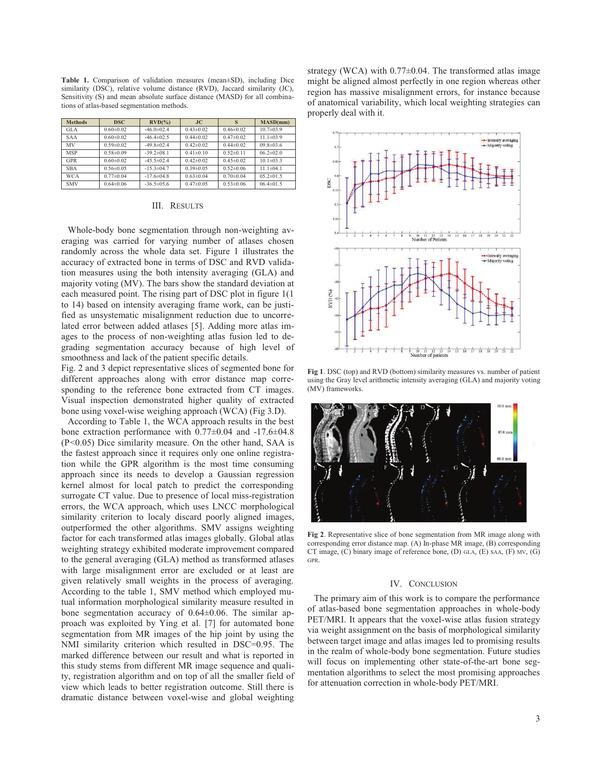**Table 1.** Comparison of validation measures (mean±SD), including Dice similarity (DSC), relative volume distance (RVD), Jaccard similarity (JC), Sensitivity (S) and mean absolute surface distance (MASD) for all combinations of atlas-based segmentation methods.

| <b>Methods</b> | <b>DSC</b>      | $RVD(\% )$       | JC              | $\mathbf{s}$    | MASD(mm)        |
|----------------|-----------------|------------------|-----------------|-----------------|-----------------|
| <b>GLA</b>     | $0.60 \pm 0.02$ | $-46.0 \pm 02.4$ | $0.43 \pm 0.02$ | $0.46 \pm 0.02$ | $10.7 \pm 03.9$ |
| <b>SAA</b>     | $0.60 \pm 0.02$ | $-46.4 \pm 02.5$ | $0.44 \pm 0.02$ | $0.47 \pm 0.02$ | $11.1 \pm 03.9$ |
| MV             | $0.59 \pm 0.02$ | $-49.8 \pm 02.4$ | $0.42 \pm 0.02$ | $0.44 \pm 0.02$ | $09.8 \pm 03.6$ |
| <b>MSP</b>     | $0.58 \pm 0.09$ | $-39.2 \pm 08.1$ | $0.41 \pm 0.10$ | $0.52 \pm 0.11$ | $06.2 \pm 02.0$ |
| GPR            | $0.60 \pm 0.02$ | $-45.5 \pm 02.4$ | $0.42 \pm 0.02$ | $0.45 \pm 0.02$ | $10.1 \pm 03.3$ |
| <b>SBA</b>     | $0.56 \pm 0.05$ | $-15.3 \pm 04.7$ | $0.39 \pm 0.05$ | $0.52 \pm 0.06$ | $11.1 \pm 04.1$ |
| <b>WCA</b>     | $0.77 \pm 0.04$ | $-17.6 \pm 04.8$ | $0.63 \pm 0.04$ | $0.70 \pm 0.04$ | $05.2 \pm 01.5$ |
| <b>SMV</b>     | $0.64 \pm 0.06$ | $-36.5 \pm 05.6$ | $0.47 \pm 0.05$ | $0.53 \pm 0.06$ | $06.4 \pm 01.5$ |

# III. RESULTS

Whole-body bone segmentation through non-weighting averaging was carried for varying number of atlases chosen randomly across the whole data set. Figure 1 illustrates the accuracy of extracted bone in terms of DSC and RVD validation measures using the both intensity averaging (GLA) and majority voting (MV). The bars show the standard deviation at each measured point. The rising part of DSC plot in figure 1(1 to 14) based on intensity averaging frame work, can be justified as unsystematic misalignment reduction due to uncorrelated error between added atlases [5]. Adding more atlas images to the process of non-weighting atlas fusion led to degrading segmentation accuracy because of high level of smoothness and lack of the patient specific details.

Fig. 2 and 3 depict representative slices of segmented bone for different approaches along with error distance map corresponding to the reference bone extracted from CT images. Visual inspection demonstrated higher quality of extracted bone using voxel-wise weighing approach (WCA) (Fig 3.D).

According to Table 1, the WCA approach results in the best bone extraction performance with 0.77±0.04 and -17.6±04.8 (P<0.05) Dice similarity measure. On the other hand, SAA is the fastest approach since it requires only one online registration while the GPR algorithm is the most time consuming approach since its needs to develop a Gaussian regression kernel almost for local patch to predict the corresponding surrogate CT value. Due to presence of local miss-registration errors, the WCA approach, which uses LNCC morphological similarity criterion to localy discard poorly aligned images, outperformed the other algorithms. SMV assigns weighting factor for each transformed atlas images globally. Global atlas weighting strategy exhibited moderate improvement compared to the general averaging (GLA) method as transformed atlases with large misalignment error are excluded or at least are given relatively small weights in the process of averaging. According to the table 1, SMV method which employed mutual information morphological similarity measure resulted in bone segmentation accuracy of 0.64±0.06. The similar approach was exploited by Ying et al. [7] for automated bone segmentation from MR images of the hip joint by using the NMI similarity criterion which resulted in DSC=0.95. The marked difference between our result and what is reported in this study stems from different MR image sequence and quality, registration algorithm and on top of all the smaller field of view which leads to better registration outcome. Still there is dramatic distance between voxel-wise and global weighting strategy (WCA) with 0.77±0.04. The transformed atlas image might be aligned almost perfectly in one region whereas other region has massive misalignment errors, for instance because of anatomical variability, which local weighting strategies can properly deal with it.



**Fig 1**. DSC (top) and RVD (bottom) similarity measures vs. number of patient using the Gray level arithmetic intensity averaging (GLA) and majority voting (MV) frameworks.



**Fig 2**. Representative slice of bone segmentation from MR image along with corresponding error distance map. (A) In-phase MR image, (B) corresponding CT image, (C) binary image of reference bone, (D) GLA, (E) SAA, (F) MV, (G) GPR.

# IV. CONCLUSION

The primary aim of this work is to compare the performance of atlas-based bone segmentation approaches in whole-body PET/MRI. It appears that the voxel-wise atlas fusion strategy via weight assignment on the basis of morphological similarity between target image and atlas images led to promising results in the realm of whole-body bone segmentation. Future studies will focus on implementing other state-of-the-art bone segmentation algorithms to select the most promising approaches for attenuation correction in whole-body PET/MRI.